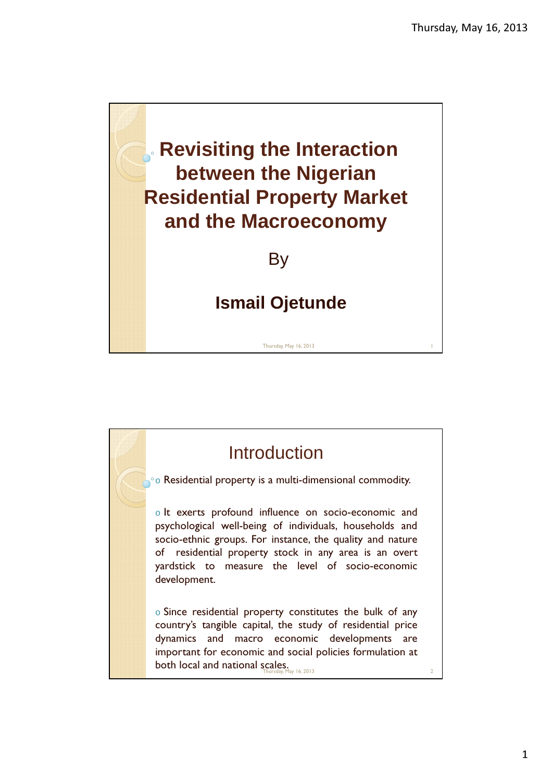



1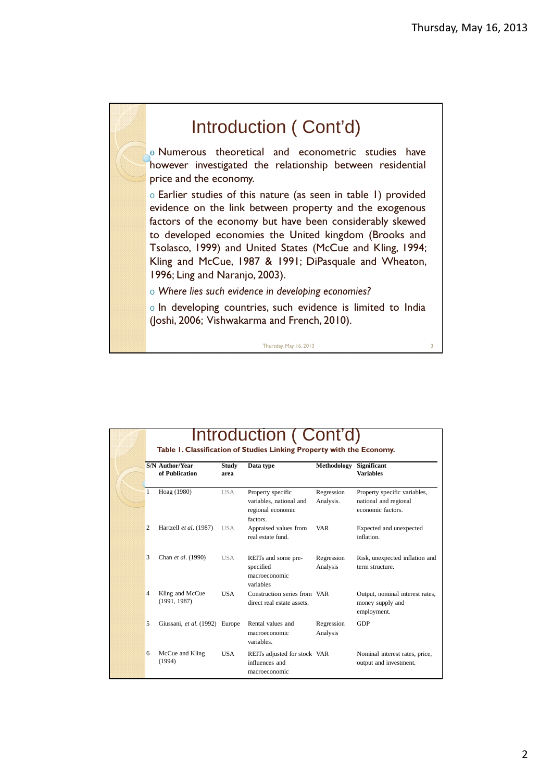## Introduction ( Cont'd) o Numerous theoretical and econometric studies have however investigated the relationship between residential price and the economy. o Earlier studies of this nature (as seen in table 1) provided evidence on the link between property and the exogenous factors of the economy but have been considerably skewed to developed economies the United kingdom (Brooks and Tsolasco, 1999) and United States (McCue and Kling, 1994; Kling and McCue, 1987 & 1991; DiPasquale and Wheaton, 1996; Ling and Naranjo, 2003). o Where lies such evidence in developing economies? o In developing countries, such evidence is limited to India (Joshi, 2006; Vishwakarma and French, 2010).

Thursday, May 16, 2013

Introduction ( Cont'd) Table 1. Classification of Studies Linking Property with the Economy. macroeconomic and the state of the state of the state of the state of the state of the state of the state of the state of the state of the state of the state of the state of the state of the state of the state of the state **S/N Author/Year of Publication Study area Data type Methodology Significant Variables** Hoag (1980) USA Property specific variables, national and regional economic factors. Regression Analysis. Property specific variables, national and regional economic factors. 2 Hartzell *et al*. (1987) USA Appraised values from real estate fund. VAR Expected and unexpected inflation. Chan *et al.* (1990) USA REITs and some prespecified macroeconomic variables Regression Analysis Risk, unexpected inflation and term structure. 4 Kling and McCue (1991, 1987) USA Construction series from VAR direct real estate assets. Output, nominal interest rates, money supply and employment. 5 Giussani, *et al*. (1992) Europe Rental values and macroeconomic variables. Regression Analysis GDP 6 McCue and Kling  $(1994)$ USA REITs adjusted for stock VAR influences and Nominal interest rates, price, output and investment.

variables.

2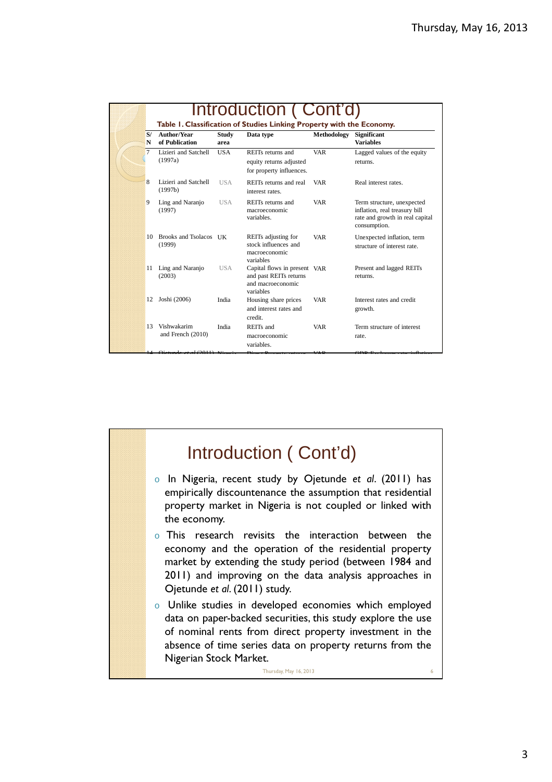| N<br>7<br>8<br>9<br>11<br>12 | of Publication<br>Lizieri and Satchell<br>(1997a)<br>Lizieri and Satchell | area<br><b>USA</b> | REITs returns and<br>equity returns adjusted                                             | <b>VAR</b> | <b>Variables</b>                                                                                               |
|------------------------------|---------------------------------------------------------------------------|--------------------|------------------------------------------------------------------------------------------|------------|----------------------------------------------------------------------------------------------------------------|
|                              |                                                                           |                    | for property influences.                                                                 |            | Lagged values of the equity<br>returns.                                                                        |
|                              | (1997b)                                                                   | <b>USA</b>         | REITs returns and real<br>interest rates.                                                | <b>VAR</b> | Real interest rates.                                                                                           |
|                              | Ling and Naranjo<br>(1997)                                                | <b>USA</b>         | REITs returns and<br>macroeconomic<br>variables.                                         | <b>VAR</b> | Term structure, unexpected<br>inflation, real treasury bill<br>rate and growth in real capital<br>consumption. |
|                              | 10 Brooks and Tsolacos IIK<br>(1999)                                      |                    | REITs adjusting for<br>stock influences and<br>macroeconomic<br>variables                | <b>VAR</b> | Unexpected inflation, term<br>structure of interest rate                                                       |
|                              | Ling and Naranjo<br>(2003)                                                | <b>USA</b>         | Capital flows in present VAR<br>and past REITs returns<br>and macroeconomic<br>variables |            | Present and lagged REITs<br>returns.                                                                           |
|                              | Joshi (2006)                                                              | India              | Housing share prices<br>and interest rates and<br>credit.                                | <b>VAR</b> | Interest rates and credit<br>growth.                                                                           |
| 13                           | Vishwakarim<br>and French (2010)                                          | India              | REITs and<br>macroeconomic<br>variables.                                                 | <b>VAR</b> | Term structure of interest<br>rate.                                                                            |

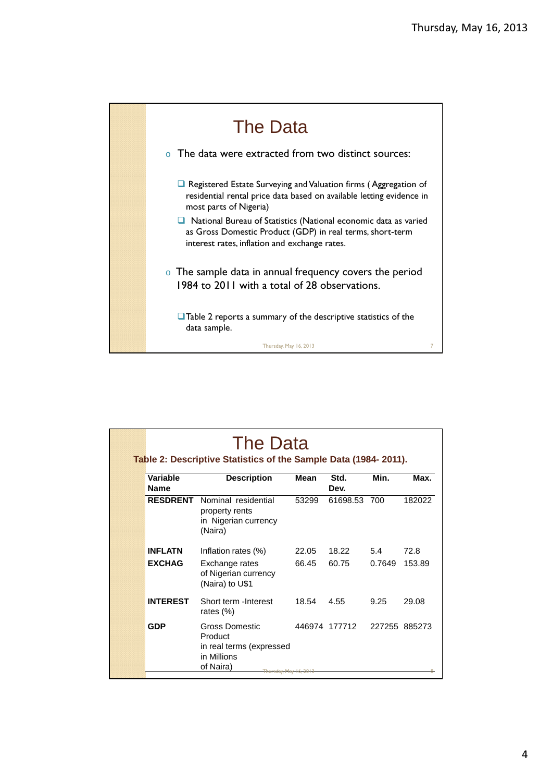

| Variable<br><b>Name</b> | <b>Description</b>                                                                | <b>Mean</b> | Std.<br>Dev.  | Min.          | Max.   |
|-------------------------|-----------------------------------------------------------------------------------|-------------|---------------|---------------|--------|
| <b>RESDRENT</b>         | Nominal residential<br>property rents<br>in Nigerian currency<br>(Naira)          | 53299       | 61698.53 700  |               | 182022 |
| <b>INFLATN</b>          | Inflation rates (%)                                                               | 22.05       | 18.22         | 5.4           | 72.8   |
| <b>EXCHAG</b>           | Exchange rates<br>of Nigerian currency<br>(Naira) to U\$1                         | 66.45       | 60.75         | 0.7649        | 153.89 |
| <b>INTEREST</b>         | Short term - Interest<br>rates $(\%)$                                             | 18.54       | 4.55          | 9.25          | 29.08  |
| <b>GDP</b>              | Gross Domestic<br>Product<br>in real terms (expressed<br>in Millions<br>of Naira) |             | 446974 177712 | 227255 885273 |        |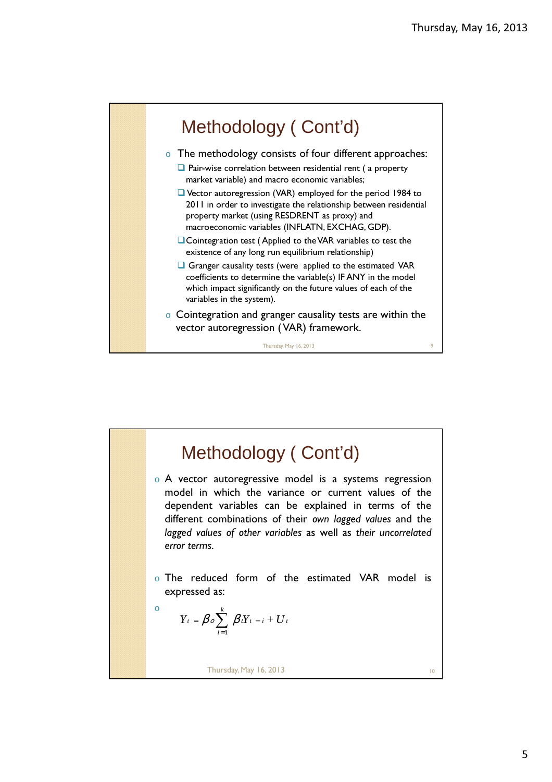

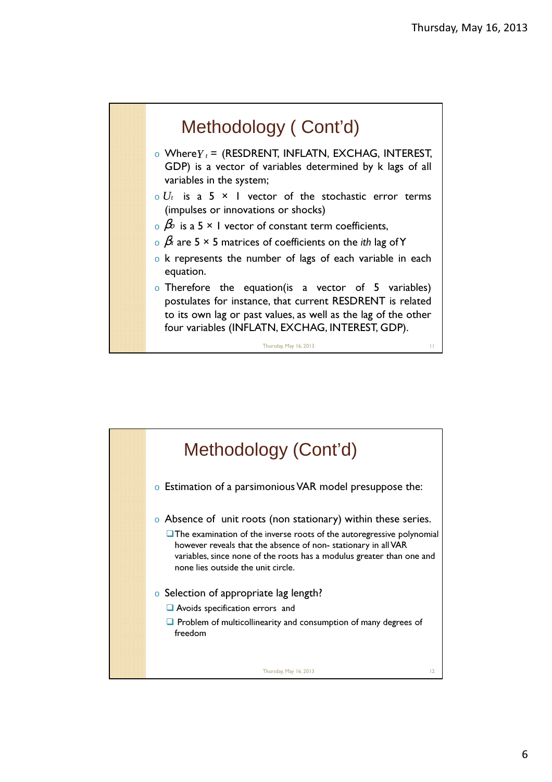

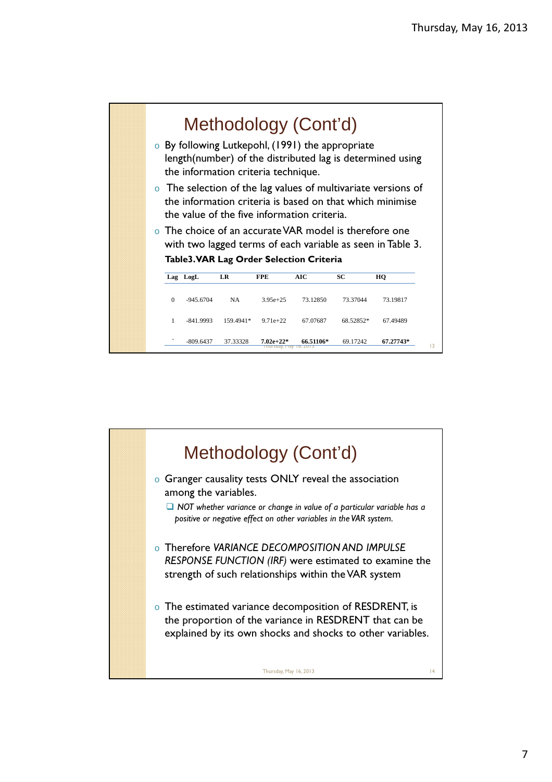

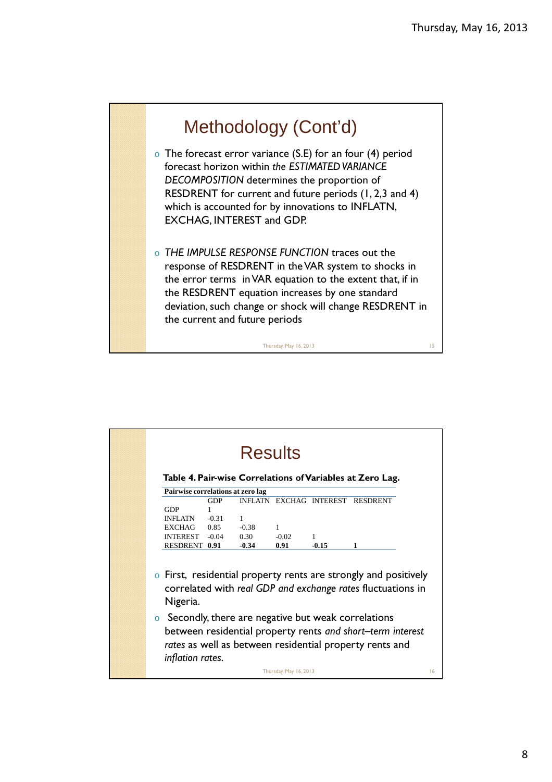

| Pairwise correlations at zero lag<br><b>EXCHAG INTEREST</b><br>INFLATN                                                                                                                                                                     | <b>RESDRENT</b>                                                                                     |
|--------------------------------------------------------------------------------------------------------------------------------------------------------------------------------------------------------------------------------------------|-----------------------------------------------------------------------------------------------------|
|                                                                                                                                                                                                                                            |                                                                                                     |
|                                                                                                                                                                                                                                            |                                                                                                     |
|                                                                                                                                                                                                                                            |                                                                                                     |
|                                                                                                                                                                                                                                            |                                                                                                     |
| $-0.38$<br>1                                                                                                                                                                                                                               | 1                                                                                                   |
|                                                                                                                                                                                                                                            | $-0.15$<br>1                                                                                        |
| correlated with real GDP and exchange rates fluctuations in<br>Secondly, there are negative but weak correlations<br>between residential property rents and short-term interest<br>rates as well as between residential property rents and |                                                                                                     |
|                                                                                                                                                                                                                                            | 0.30<br>$-0.02$<br>$-0.34$<br>0.91<br>First, residential property rents are strongly and positively |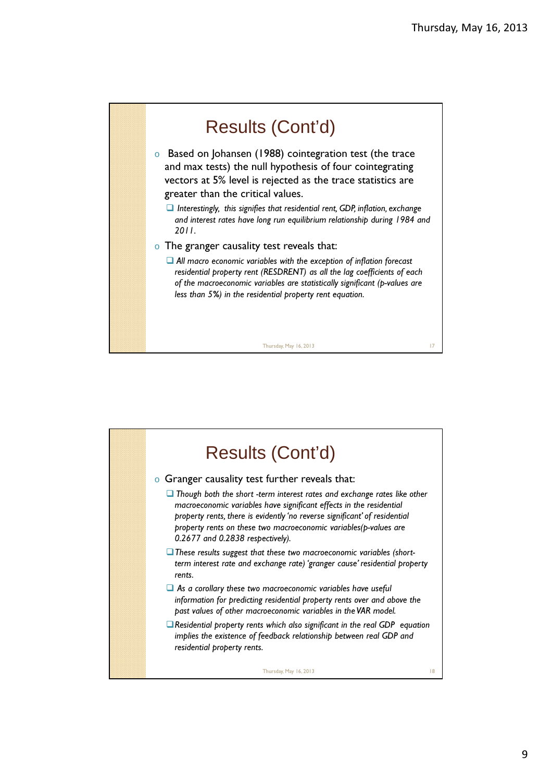

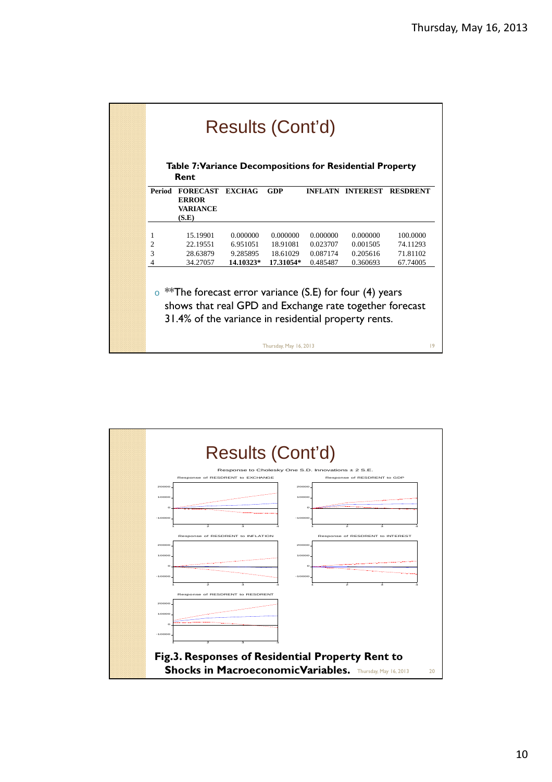| Results (Cont'd)<br>Table 7: Variance Decompositions for Residential Property<br>Rent |                                                                                                                                                                            |               |                        |          |                         |                 |  |  |
|---------------------------------------------------------------------------------------|----------------------------------------------------------------------------------------------------------------------------------------------------------------------------|---------------|------------------------|----------|-------------------------|-----------------|--|--|
|                                                                                       | Period FORECAST<br><b>ERROR</b>                                                                                                                                            | <b>EXCHAG</b> | <b>GDP</b>             |          | <b>INFLATN INTEREST</b> | <b>RESDRENT</b> |  |  |
|                                                                                       | <b>VARIANCE</b><br>(S.E)                                                                                                                                                   |               |                        |          |                         |                 |  |  |
| 1                                                                                     | 15.19901                                                                                                                                                                   | 0.000000      | 0.000000               | 0.000000 | 0.000000                | 100.0000        |  |  |
| $\overline{c}$                                                                        | 22.19551                                                                                                                                                                   | 6.951051      | 18.91081               | 0.023707 | 0.001505                | 74.11293        |  |  |
| 3                                                                                     | 28.63879                                                                                                                                                                   | 9.285895      | 18.61029               | 0.087174 | 0.205616                | 71.81102        |  |  |
| 4                                                                                     | 34.27057                                                                                                                                                                   | 14.10323*     | 17.31054*              | 0.485487 | 0.360693                | 67.74005        |  |  |
| $\Omega$                                                                              | ** The forecast error variance (S.E) for four (4) years<br>shows that real GPD and Exchange rate together forecast<br>31.4% of the variance in residential property rents. |               | Thursday, May 16, 2013 |          |                         | 9               |  |  |

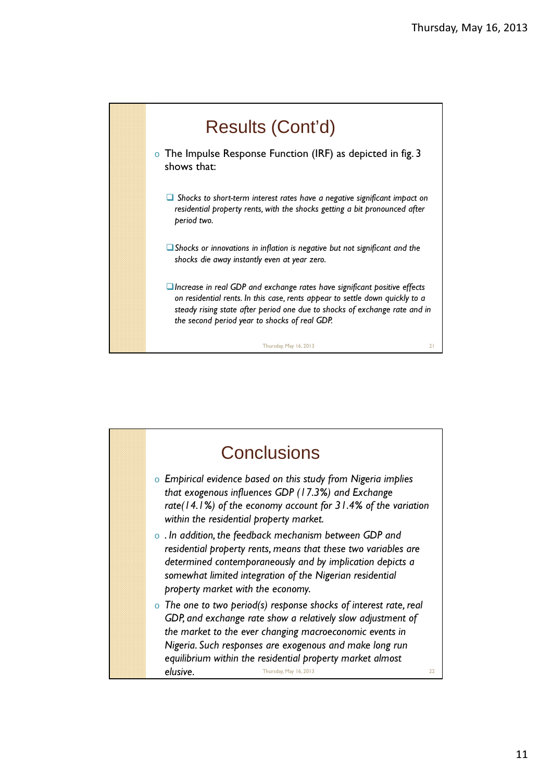